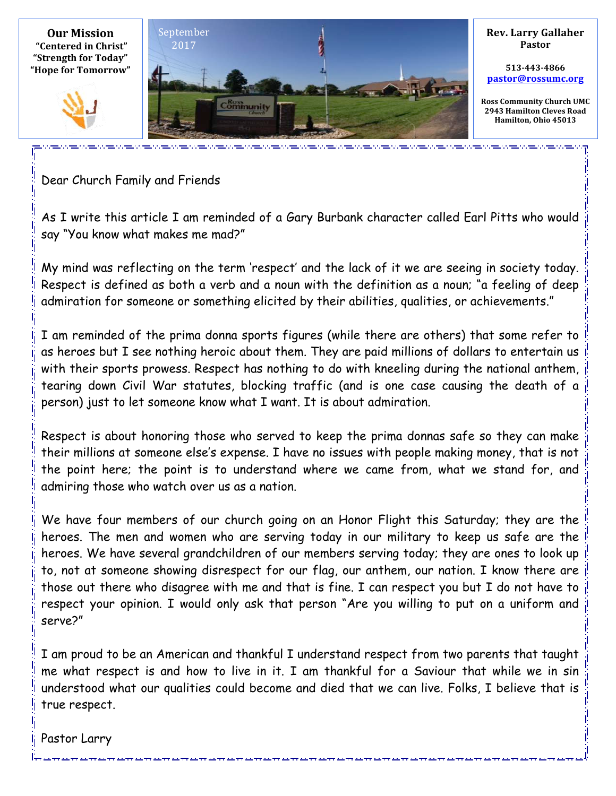

Dear Church Family and Friends

As I write this article I am reminded of a Gary Burbank character called Earl Pitts who would say "You know what makes me mad?"

My mind was reflecting on the term 'respect' and the lack of it we are seeing in society today. Respect is defined as both a verb and a noun with the definition as a noun; "a feeling of deep admiration for someone or something elicited by their abilities, qualities, or achievements."

I am reminded of the prima donna sports figures (while there are others) that some refer to as heroes but I see nothing heroic about them. They are paid millions of dollars to entertain us with their sports prowess. Respect has nothing to do with kneeling during the national anthem, tearing down Civil War statutes, blocking traffic (and is one case causing the death of a person) just to let someone know what I want. It is about admiration.

Respect is about honoring those who served to keep the prima donnas safe so they can make their millions at someone else's expense. I have no issues with people making money, that is not the point here; the point is to understand where we came from, what we stand for, and admiring those who watch over us as a nation.

We have four members of our church going on an Honor Flight this Saturday; they are the heroes. The men and women who are serving today in our military to keep us safe are the heroes. We have several grandchildren of our members serving today; they are ones to look up to, not at someone showing disrespect for our flag, our anthem, our nation. I know there are those out there who disagree with me and that is fine. I can respect you but I do not have to respect your opinion. I would only ask that person "Are you willing to put on a uniform and serve?"

I am proud to be an American and thankful I understand respect from two parents that taught me what respect is and how to live in it. I am thankful for a Saviour that while we in sin understood what our qualities could become and died that we can live. Folks, I believe that is true respect.

Pastor Larry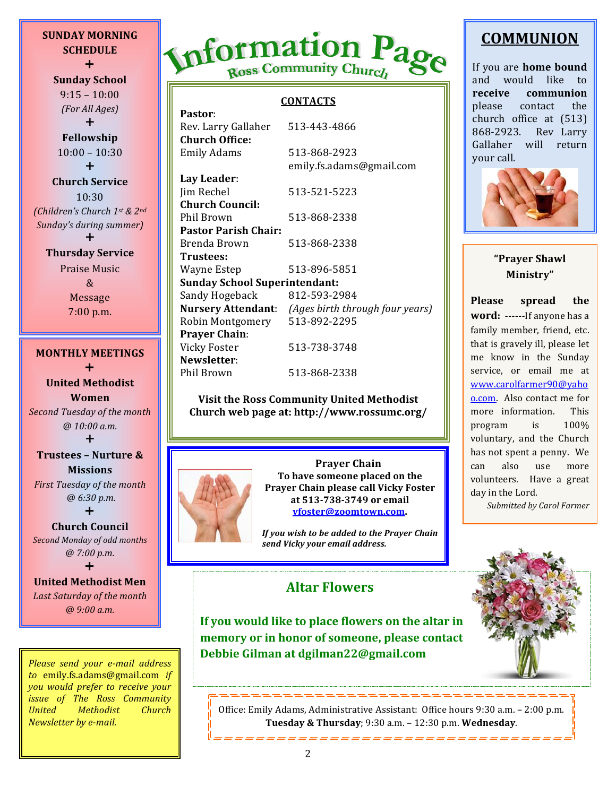**SUNDAY MORNING SCHEDULE** + **Sunday School**

 $9:15 - 10:00$ *(For All Ages)*

 $+$ **Fellowship**  $10:00 - 10:30$ 

 $\div$ 

**Church Service** 10:30 *(Children's Church 1st & 2nd* **Sunday's during summer**) **.** 

#### **Thursday Service**

Praise Music & Message 7:00 p.m.

## **MONTHLY MEETINGS**  $\ddot{}$

**United Methodist Women Second Tuesday of the month** *@ 10:00 a.m.* **.** 

**Trustees – Nurture & Missions** *First Tuesday of the month* 

 *@ 6:30 p.m.*  $\ddag$ 

#### **Church Council**

**Second Monday of odd months** *@ 7:00 p.m.*

#### **.**

# **United Methodist Men**

Last Saturday of the month *@ 9:00 a.m.*

*Please send your e-mail address to* emily.fs.adams@gmail.com *if you would prefer to receive your issue of The Ross Community United Methodist Church Newsletter by e-mail.* 

# Information Page Ross Community Church

#### **CONTACTS**

| Pastor:                              |                                                           |
|--------------------------------------|-----------------------------------------------------------|
| Rev. Larry Gallaher                  | 513-443-4866                                              |
| <b>Church Office:</b>                |                                                           |
| <b>Emily Adams</b>                   | 513-868-2923                                              |
|                                      | emily.fs.adams@gmail.com                                  |
| Lay Leader:                          |                                                           |
| Jim Rechel                           | 513-521-5223                                              |
| <b>Church Council:</b>               |                                                           |
| Phil Brown                           | 513-868-2338                                              |
| <b>Pastor Parish Chair:</b>          |                                                           |
| Brenda Brown                         | 513-868-2338                                              |
| Trustees:                            |                                                           |
| Wayne Estep                          | 513-896-5851                                              |
| <b>Sunday School Superintendant:</b> |                                                           |
| Sandy Hogeback                       | 812-593-2984                                              |
|                                      | <b>Nursery Attendant:</b> (Ages birth through four years) |
| Robin Montgomery                     | 513-892-2295                                              |
| <b>Prayer Chain:</b>                 |                                                           |
| <b>Vicky Foster</b>                  | 513-738-3748                                              |
| Newsletter:                          |                                                           |
| Phil Brown                           | 513-868-2338                                              |

#### **Visit the Ross Community United Methodist Church web page at: http://www.rossumc.org/**

**Prayer Chain** To have someone placed on the **Prayer Chain please call Vicky Foster at 513-738-3749 or email vfoster@zoomtown.com.**

*If* you wish to be added to the Prayer Chain *send Vicky your email address.*

# **COMMUNION**

If you are **home** bound and would like to **receive communion** please contact the church office at  $(513)$ 868-2923. Rev Larry Gallaher will return your call. 



## **"Prayer Shawl Ministry"**

Please spread the **word:** -------If anyone has a family member, friend, etc. that is gravely ill, please let me know in the Sunday service, or email me at www.carolfarmer90@yaho o.com. Also contact me for more information. This program is  $100\%$ voluntary, and the Church has not spent a penny. We can also use more volunteers. Have a great day in the Lord.

*Submitted by Carol Farmer*



**memory or in honor of someone, please contact** Debbie Gilman at dgilman22@gmail.com

**Altar Flowers**

**If you would like to place flowers on the altar in** 

Office: Emily Adams, Administrative Assistant: Office hours 9:30 a.m. - 2:00 p.m. **Tuesday & Thursday**; 9:30 a.m. - 12:30 p.m. Wednesday.

-----------------------------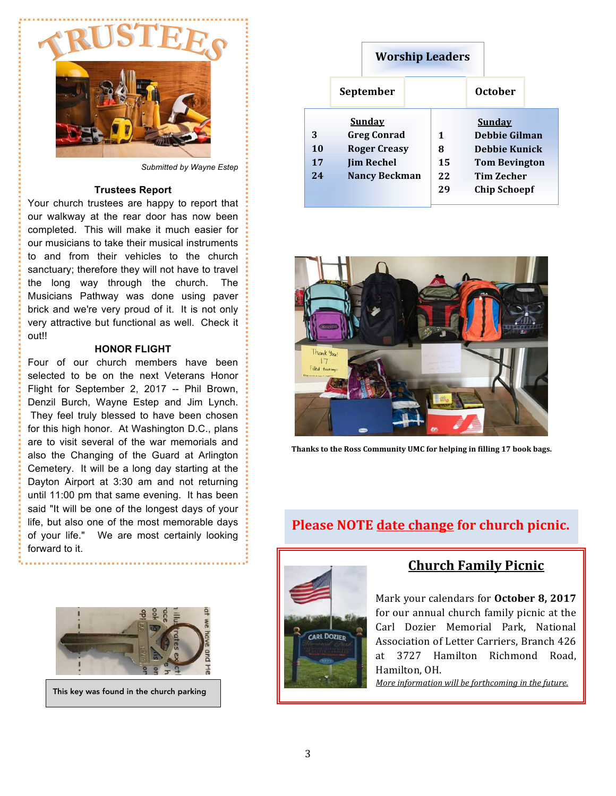

*Submitted by Wayne Estep*

#### **Trustees Report**

Your church trustees are happy to report that our walkway at the rear door has now been completed. This will make it much easier for our musicians to take their musical instruments to and from their vehicles to the church sanctuary; therefore they will not have to travel the long way through the church. The Musicians Pathway was done using paver brick and we're very proud of it. It is not only very attractive but functional as well. Check it out!!

#### **HONOR FLIGHT**

Four of our church members have been selected to be on the next Veterans Honor Flight for September 2, 2017 -- Phil Brown, Denzil Burch, Wayne Estep and Jim Lynch. They feel truly blessed to have been chosen for this high honor. At Washington D.C., plans are to visit several of the war memorials and also the Changing of the Guard at Arlington Cemetery. It will be a long day starting at the Dayton Airport at 3:30 am and not returning until 11:00 pm that same evening. It has been said "It will be one of the longest days of your life, but also one of the most memorable days of your life." We are most certainly looking forward to it.



This key was found in the church parking

## **Worship Leaders**

|                     | September                                                                                               |                          | <b>October</b>                                                                                                                    |  |
|---------------------|---------------------------------------------------------------------------------------------------------|--------------------------|-----------------------------------------------------------------------------------------------------------------------------------|--|
| 3<br>10<br>17<br>24 | <b>Sunday</b><br><b>Greg Conrad</b><br><b>Roger Creasy</b><br><b>Jim Rechel</b><br><b>Nancy Beckman</b> | 1<br>8<br>15<br>22<br>29 | <b>Sunday</b><br><b>Debbie Gilman</b><br><b>Debbie Kunick</b><br><b>Tom Bevington</b><br><b>Tim Zecher</b><br><b>Chip Schoepf</b> |  |



Thanks to the Ross Community UMC for helping in filling 17 book bags.

## **Please NOTE date change for church picnic.**



## **Church Family Picnic**

Mark your calendars for October 8, 2017 for our annual church family picnic at the Carl Dozier Memorial Park, National Association of Letter Carriers, Branch 426 at 3727 Hamilton Richmond Road, Hamilton, OH.

*More information will be forthcoming in the future.*